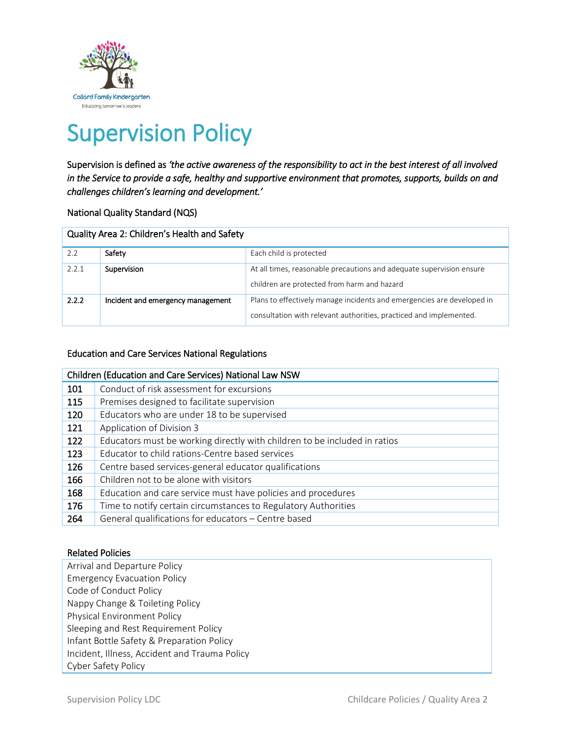

# Supervision Policy

Supervision is defined as *'the active awareness of the responsibility to act in the best interest of all involved in the Service to provide a safe, healthy and supportive environment that promotes, supports, builds on and challenges children's learning and development.'*

# National Quality Standard (NQS)

| Quality Area 2: Children's Health and Safety |                                   |                                                                                                                                              |  |  |
|----------------------------------------------|-----------------------------------|----------------------------------------------------------------------------------------------------------------------------------------------|--|--|
| 2.2                                          | Safety                            | Each child is protected                                                                                                                      |  |  |
| 2.2.1                                        | Supervision                       | At all times, reasonable precautions and adequate supervision ensure<br>children are protected from harm and hazard                          |  |  |
| 2.2.2                                        | Incident and emergency management | Plans to effectively manage incidents and emergencies are developed in<br>consultation with relevant authorities, practiced and implemented. |  |  |

# Education and Care Services National Regulations

| Children (Education and Care Services) National Law NSW |                                                                           |  |  |
|---------------------------------------------------------|---------------------------------------------------------------------------|--|--|
| 101                                                     | Conduct of risk assessment for excursions                                 |  |  |
| 115                                                     | Premises designed to facilitate supervision                               |  |  |
| 120                                                     | Educators who are under 18 to be supervised                               |  |  |
| 121                                                     | Application of Division 3                                                 |  |  |
| 122                                                     | Educators must be working directly with children to be included in ratios |  |  |
| 123                                                     | Educator to child rations-Centre based services                           |  |  |
| 126                                                     | Centre based services-general educator qualifications                     |  |  |
| 166                                                     | Children not to be alone with visitors                                    |  |  |
| 168                                                     | Education and care service must have policies and procedures              |  |  |
| 176                                                     | Time to notify certain circumstances to Regulatory Authorities            |  |  |
| 264                                                     | General qualifications for educators - Centre based                       |  |  |

#### Related Policies

Arrival and Departure Policy Emergency Evacuation Policy Code of Conduct Policy Nappy Change & Toileting Policy Physical Environment Policy Sleeping and Rest Requirement Policy Infant Bottle Safety & Preparation Policy Incident, Illness, Accident and Trauma Policy Cyber Safety Policy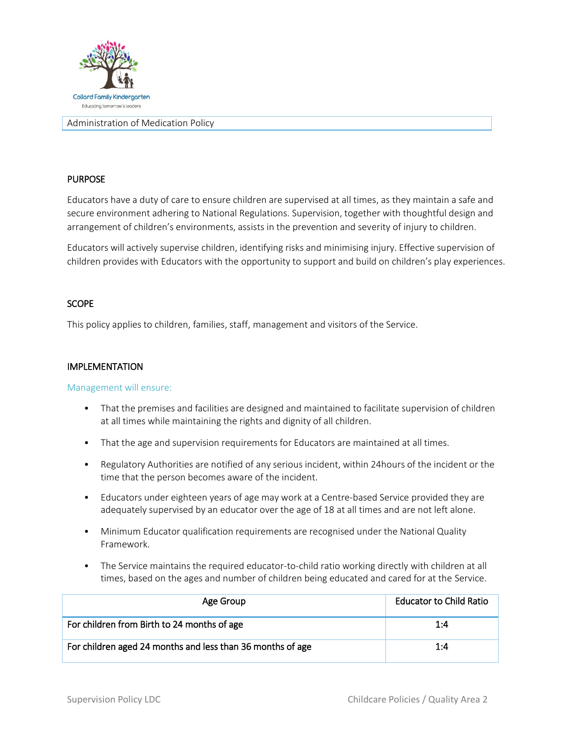

#### Administration of Medication Policy

#### **PURPOSE**

Educators have a duty of care to ensure children are supervised at all times, as they maintain a safe and secure environment adhering to National Regulations. Supervision, together with thoughtful design and arrangement of children's environments, assists in the prevention and severity of injury to children.

Educators will actively supervise children, identifying risks and minimising injury. Effective supervision of children provides with Educators with the opportunity to support and build on children's play experiences.

#### **SCOPE**

This policy applies to children, families, staff, management and visitors of the Service.

#### IMPLEMENTATION

#### Management will ensure:

- That the premises and facilities are designed and maintained to facilitate supervision of children at all times while maintaining the rights and dignity of all children.
- That the age and supervision requirements for Educators are maintained at all times.
- Regulatory Authorities are notified of any serious incident, within 24hours of the incident or the time that the person becomes aware of the incident.
- Educators under eighteen years of age may work at a Centre-based Service provided they are adequately supervised by an educator over the age of 18 at all times and are not left alone.
- Minimum Educator qualification requirements are recognised under the National Quality Framework.
- The Service maintains the required educator-to-child ratio working directly with children at all times, based on the ages and number of children being educated and cared for at the Service.

| Age Group                                                  | <b>Educator to Child Ratio</b> |
|------------------------------------------------------------|--------------------------------|
| For children from Birth to 24 months of age                | 1:4                            |
| For children aged 24 months and less than 36 months of age | 1:4                            |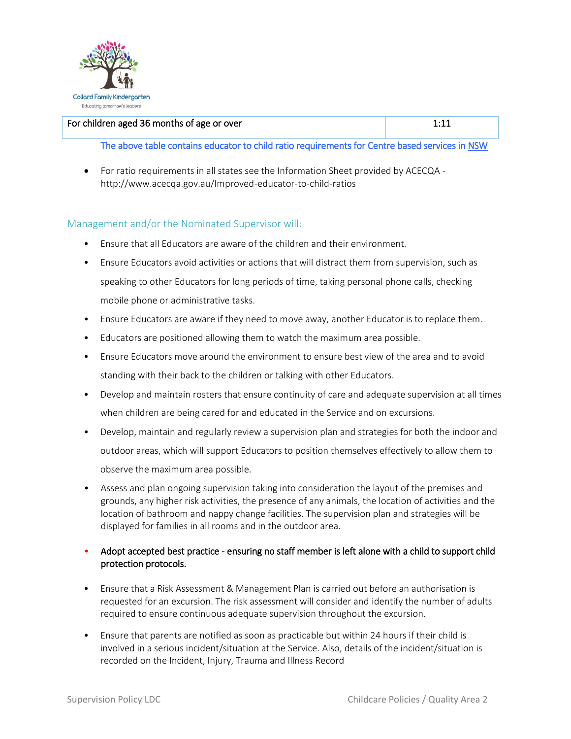

# For children aged 36 months of age or over 1:11 and 1:11 and 1:11 and 1:11 and 1:11

# The above table contains educator to child ratio requirements for Centre based services in NSW

 For ratio requirements in all states see the Information Sheet provided by ACECQA http://www.acecqa.gov.au/Improved-educator-to-child-ratios

# Management and/or the Nominated Supervisor will:

- Ensure that all Educators are aware of the children and their environment.
- Ensure Educators avoid activities or actions that will distract them from supervision, such as speaking to other Educators for long periods of time, taking personal phone calls, checking mobile phone or administrative tasks.
- Ensure Educators are aware if they need to move away, another Educator is to replace them.
- Educators are positioned allowing them to watch the maximum area possible.
- Ensure Educators move around the environment to ensure best view of the area and to avoid standing with their back to the children or talking with other Educators.
- Develop and maintain rosters that ensure continuity of care and adequate supervision at all times when children are being cared for and educated in the Service and on excursions.
- Develop, maintain and regularly review a supervision plan and strategies for both the indoor and outdoor areas, which will support Educators to position themselves effectively to allow them to observe the maximum area possible.
- Assess and plan ongoing supervision taking into consideration the layout of the premises and grounds, any higher risk activities, the presence of any animals, the location of activities and the location of bathroom and nappy change facilities. The supervision plan and strategies will be displayed for families in all rooms and in the outdoor area.
- Adopt accepted best practice ensuring no staff member is left alone with a child to support child protection protocols.
- Ensure that a Risk Assessment & Management Plan is carried out before an authorisation is requested for an excursion. The risk assessment will consider and identify the number of adults required to ensure continuous adequate supervision throughout the excursion.
- Ensure that parents are notified as soon as practicable but within 24 hours if their child is involved in a serious incident/situation at the Service. Also, details of the incident/situation is recorded on the Incident, Injury, Trauma and Illness Record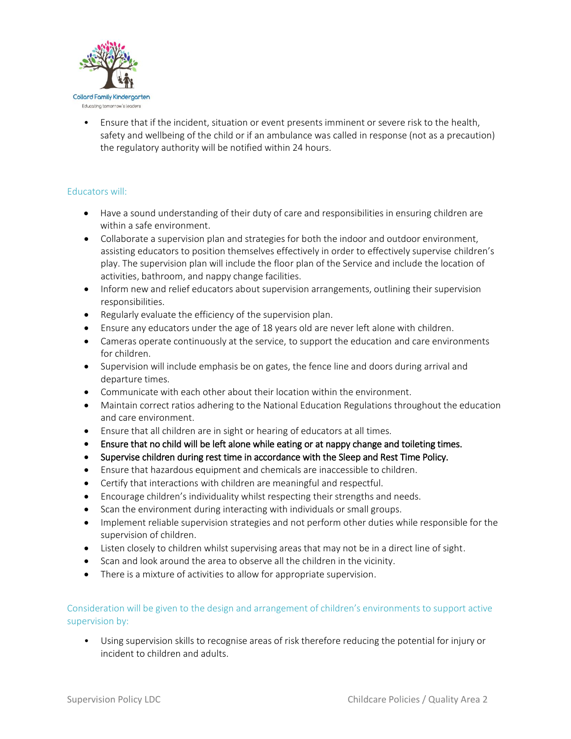

• Ensure that if the incident, situation or event presents imminent or severe risk to the health, safety and wellbeing of the child or if an ambulance was called in response (not as a precaution) the regulatory authority will be notified within 24 hours.

# Educators will:

- Have a sound understanding of their duty of care and responsibilities in ensuring children are within a safe environment.
- Collaborate a supervision plan and strategies for both the indoor and outdoor environment, assisting educators to position themselves effectively in order to effectively supervise children's play. The supervision plan will include the floor plan of the Service and include the location of activities, bathroom, and nappy change facilities.
- Inform new and relief educators about supervision arrangements, outlining their supervision responsibilities.
- Regularly evaluate the efficiency of the supervision plan.
- Ensure any educators under the age of 18 years old are never left alone with children.
- Cameras operate continuously at the service, to support the education and care environments for children.
- Supervision will include emphasis be on gates, the fence line and doors during arrival and departure times.
- Communicate with each other about their location within the environment.
- Maintain correct ratios adhering to the National Education Regulations throughout the education and care environment.
- Ensure that all children are in sight or hearing of educators at all times.
- Ensure that no child will be left alone while eating or at nappy change and toileting times.
- Supervise children during rest time in accordance with the Sleep and Rest Time Policy.
- Ensure that hazardous equipment and chemicals are inaccessible to children.
- Certify that interactions with children are meaningful and respectful.
- Encourage children's individuality whilst respecting their strengths and needs.
- Scan the environment during interacting with individuals or small groups.
- Implement reliable supervision strategies and not perform other duties while responsible for the supervision of children.
- Listen closely to children whilst supervising areas that may not be in a direct line of sight.
- Scan and look around the area to observe all the children in the vicinity.
- There is a mixture of activities to allow for appropriate supervision.

# Consideration will be given to the design and arrangement of children's environments to support active supervision by:

• Using supervision skills to recognise areas of risk therefore reducing the potential for injury or incident to children and adults.